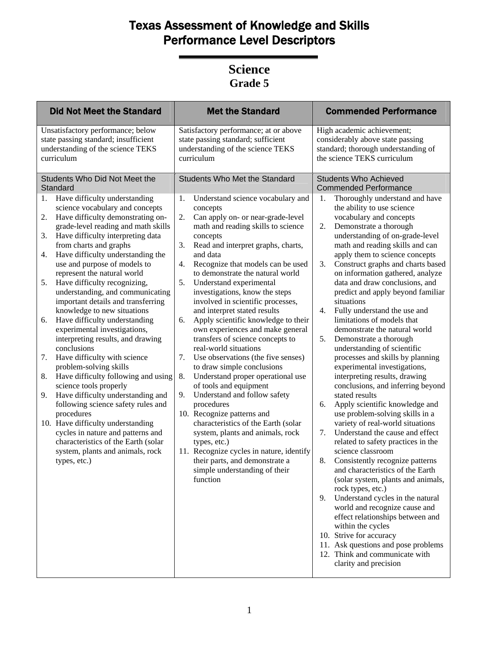| <b>Did Not Meet the Standard</b>                                                                                                                                                                                                                                                                                                                                                                                                                                                                                                                                                                                                                                                                                                                                                                                                                                                                                                                                                                                                                                          | <b>Met the Standard</b>                                                                                                                                                                                                                                                                                                                                                                                                                                                                                                                                                                                                                                                                                                                                                                                                                                                                                                                                                                                                                                                      | <b>Commended Performance</b>                                                                                                                                                                                                                                                                                                                                                                                                                                                                                                                                                                                                                                                                                                                                                                                                                                                                                                                                                                                                                                                                                                                                                                                                                                                                                                                                                                                                          |  |  |
|---------------------------------------------------------------------------------------------------------------------------------------------------------------------------------------------------------------------------------------------------------------------------------------------------------------------------------------------------------------------------------------------------------------------------------------------------------------------------------------------------------------------------------------------------------------------------------------------------------------------------------------------------------------------------------------------------------------------------------------------------------------------------------------------------------------------------------------------------------------------------------------------------------------------------------------------------------------------------------------------------------------------------------------------------------------------------|------------------------------------------------------------------------------------------------------------------------------------------------------------------------------------------------------------------------------------------------------------------------------------------------------------------------------------------------------------------------------------------------------------------------------------------------------------------------------------------------------------------------------------------------------------------------------------------------------------------------------------------------------------------------------------------------------------------------------------------------------------------------------------------------------------------------------------------------------------------------------------------------------------------------------------------------------------------------------------------------------------------------------------------------------------------------------|---------------------------------------------------------------------------------------------------------------------------------------------------------------------------------------------------------------------------------------------------------------------------------------------------------------------------------------------------------------------------------------------------------------------------------------------------------------------------------------------------------------------------------------------------------------------------------------------------------------------------------------------------------------------------------------------------------------------------------------------------------------------------------------------------------------------------------------------------------------------------------------------------------------------------------------------------------------------------------------------------------------------------------------------------------------------------------------------------------------------------------------------------------------------------------------------------------------------------------------------------------------------------------------------------------------------------------------------------------------------------------------------------------------------------------------|--|--|
| Unsatisfactory performance; below<br>state passing standard; insufficient<br>understanding of the science TEKS<br>curriculum                                                                                                                                                                                                                                                                                                                                                                                                                                                                                                                                                                                                                                                                                                                                                                                                                                                                                                                                              | Satisfactory performance; at or above<br>state passing standard; sufficient<br>understanding of the science TEKS<br>curriculum                                                                                                                                                                                                                                                                                                                                                                                                                                                                                                                                                                                                                                                                                                                                                                                                                                                                                                                                               | High academic achievement;<br>considerably above state passing<br>standard; thorough understanding of<br>the science TEKS curriculum                                                                                                                                                                                                                                                                                                                                                                                                                                                                                                                                                                                                                                                                                                                                                                                                                                                                                                                                                                                                                                                                                                                                                                                                                                                                                                  |  |  |
| Students Who Did Not Meet the<br>Standard<br>Have difficulty understanding<br>1.<br>science vocabulary and concepts<br>Have difficulty demonstrating on-<br>2.<br>grade-level reading and math skills<br>Have difficulty interpreting data<br>3.<br>from charts and graphs<br>Have difficulty understanding the<br>4.<br>use and purpose of models to<br>represent the natural world<br>Have difficulty recognizing,<br>5.<br>understanding, and communicating<br>important details and transferring<br>knowledge to new situations<br>Have difficulty understanding<br>6.<br>experimental investigations,<br>interpreting results, and drawing<br>conclusions<br>Have difficulty with science<br>7.<br>problem-solving skills<br>Have difficulty following and using<br>8.<br>science tools properly<br>Have difficulty understanding and<br>9.<br>following science safety rules and<br>procedures<br>10. Have difficulty understanding<br>cycles in nature and patterns and<br>characteristics of the Earth (solar<br>system, plants and animals, rock<br>types, etc.) | <b>Students Who Met the Standard</b><br>Understand science vocabulary and<br>1.<br>concepts<br>Can apply on- or near-grade-level<br>2.<br>math and reading skills to science<br>concepts<br>3.<br>Read and interpret graphs, charts,<br>and data<br>4.<br>Recognize that models can be used<br>to demonstrate the natural world<br>5.<br>Understand experimental<br>investigations, know the steps<br>involved in scientific processes,<br>and interpret stated results<br>Apply scientific knowledge to their<br>6.<br>own experiences and make general<br>transfers of science concepts to<br>real-world situations<br>7.<br>Use observations (the five senses)<br>to draw simple conclusions<br>Understand proper operational use<br>8.<br>of tools and equipment<br>Understand and follow safety<br>9.<br>procedures<br>10. Recognize patterns and<br>characteristics of the Earth (solar<br>system, plants and animals, rock<br>types, etc.)<br>11. Recognize cycles in nature, identify<br>their parts, and demonstrate a<br>simple understanding of their<br>function | <b>Students Who Achieved</b><br><b>Commended Performance</b><br>Thoroughly understand and have<br>1.<br>the ability to use science<br>vocabulary and concepts<br>2.<br>Demonstrate a thorough<br>understanding of on-grade-level<br>math and reading skills and can<br>apply them to science concepts<br>Construct graphs and charts based<br>3.<br>on information gathered, analyze<br>data and draw conclusions, and<br>predict and apply beyond familiar<br>situations<br>Fully understand the use and<br>4.<br>limitations of models that<br>demonstrate the natural world<br>5.<br>Demonstrate a thorough<br>understanding of scientific<br>processes and skills by planning<br>experimental investigations,<br>interpreting results, drawing<br>conclusions, and inferring beyond<br>stated results<br>Apply scientific knowledge and<br>6.<br>use problem-solving skills in a<br>variety of real-world situations<br>Understand the cause and effect<br>7.<br>related to safety practices in the<br>science classroom<br>8.<br>Consistently recognize patterns<br>and characteristics of the Earth<br>(solar system, plants and animals,<br>rock types, etc.)<br>Understand cycles in the natural<br>9.<br>world and recognize cause and<br>effect relationships between and<br>within the cycles<br>10. Strive for accuracy<br>11. Ask questions and pose problems<br>12. Think and communicate with<br>clarity and precision |  |  |
|                                                                                                                                                                                                                                                                                                                                                                                                                                                                                                                                                                                                                                                                                                                                                                                                                                                                                                                                                                                                                                                                           |                                                                                                                                                                                                                                                                                                                                                                                                                                                                                                                                                                                                                                                                                                                                                                                                                                                                                                                                                                                                                                                                              |                                                                                                                                                                                                                                                                                                                                                                                                                                                                                                                                                                                                                                                                                                                                                                                                                                                                                                                                                                                                                                                                                                                                                                                                                                                                                                                                                                                                                                       |  |  |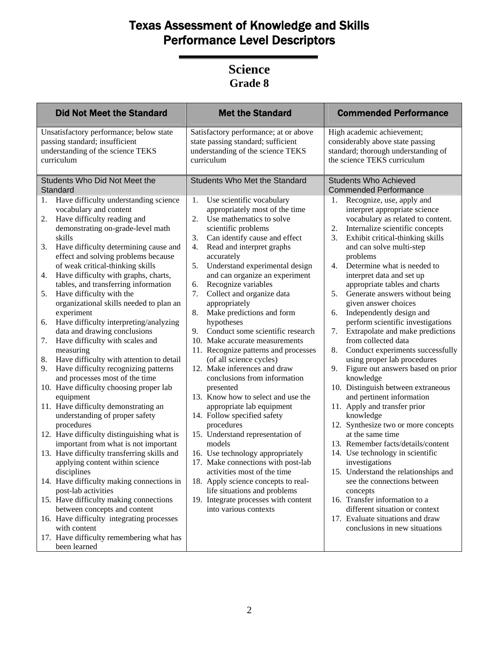| <b>Did Not Meet the Standard</b>                                                                                                                                                                                                                                                                                                                                                                                                                                                                                                                                                                                                                                                                                                                                                                                                                                                                                                                                                                                                                                                                                                                                                                                                                                                                           | <b>Met the Standard</b>                                                                                                                                                                                                                                                                                                                                                                                                                                                                                                                                                                                                                                                                                                                                                                                                                                                                                                                                                                                                                                                                 | <b>Commended Performance</b>                                                                                                                                                                                                                                                                                                                                                                                                                                                                                                                                                                                                                                                                                                                                                                                                                                                                                                                                                                                                                                                                                                                                                                                   |  |
|------------------------------------------------------------------------------------------------------------------------------------------------------------------------------------------------------------------------------------------------------------------------------------------------------------------------------------------------------------------------------------------------------------------------------------------------------------------------------------------------------------------------------------------------------------------------------------------------------------------------------------------------------------------------------------------------------------------------------------------------------------------------------------------------------------------------------------------------------------------------------------------------------------------------------------------------------------------------------------------------------------------------------------------------------------------------------------------------------------------------------------------------------------------------------------------------------------------------------------------------------------------------------------------------------------|-----------------------------------------------------------------------------------------------------------------------------------------------------------------------------------------------------------------------------------------------------------------------------------------------------------------------------------------------------------------------------------------------------------------------------------------------------------------------------------------------------------------------------------------------------------------------------------------------------------------------------------------------------------------------------------------------------------------------------------------------------------------------------------------------------------------------------------------------------------------------------------------------------------------------------------------------------------------------------------------------------------------------------------------------------------------------------------------|----------------------------------------------------------------------------------------------------------------------------------------------------------------------------------------------------------------------------------------------------------------------------------------------------------------------------------------------------------------------------------------------------------------------------------------------------------------------------------------------------------------------------------------------------------------------------------------------------------------------------------------------------------------------------------------------------------------------------------------------------------------------------------------------------------------------------------------------------------------------------------------------------------------------------------------------------------------------------------------------------------------------------------------------------------------------------------------------------------------------------------------------------------------------------------------------------------------|--|
| Unsatisfactory performance; below state<br>passing standard; insufficient<br>understanding of the science TEKS<br>curriculum                                                                                                                                                                                                                                                                                                                                                                                                                                                                                                                                                                                                                                                                                                                                                                                                                                                                                                                                                                                                                                                                                                                                                                               | Satisfactory performance; at or above<br>state passing standard; sufficient<br>understanding of the science TEKS<br>curriculum                                                                                                                                                                                                                                                                                                                                                                                                                                                                                                                                                                                                                                                                                                                                                                                                                                                                                                                                                          | High academic achievement;<br>considerably above state passing<br>standard; thorough understanding of<br>the science TEKS curriculum                                                                                                                                                                                                                                                                                                                                                                                                                                                                                                                                                                                                                                                                                                                                                                                                                                                                                                                                                                                                                                                                           |  |
| Students Who Did Not Meet the                                                                                                                                                                                                                                                                                                                                                                                                                                                                                                                                                                                                                                                                                                                                                                                                                                                                                                                                                                                                                                                                                                                                                                                                                                                                              | <b>Students Who Met the Standard</b>                                                                                                                                                                                                                                                                                                                                                                                                                                                                                                                                                                                                                                                                                                                                                                                                                                                                                                                                                                                                                                                    | <b>Students Who Achieved</b>                                                                                                                                                                                                                                                                                                                                                                                                                                                                                                                                                                                                                                                                                                                                                                                                                                                                                                                                                                                                                                                                                                                                                                                   |  |
| Standard<br>Have difficulty understanding science<br>1.<br>vocabulary and content<br>Have difficulty reading and<br>2.<br>demonstrating on-grade-level math<br>skills<br>Have difficulty determining cause and<br>3.<br>effect and solving problems because<br>of weak critical-thinking skills<br>Have difficulty with graphs, charts,<br>4.<br>tables, and transferring information<br>Have difficulty with the<br>5.<br>organizational skills needed to plan an<br>experiment<br>Have difficulty interpreting/analyzing<br>6.<br>data and drawing conclusions<br>Have difficulty with scales and<br>7.<br>measuring<br>Have difficulty with attention to detail<br>8.<br>Have difficulty recognizing patterns<br>9.<br>and processes most of the time<br>10. Have difficulty choosing proper lab<br>equipment<br>11. Have difficulty demonstrating an<br>understanding of proper safety<br>procedures<br>12. Have difficulty distinguishing what is<br>important from what is not important<br>13. Have difficulty transferring skills and<br>applying content within science<br>disciplines<br>14. Have difficulty making connections in<br>post-lab activities<br>15. Have difficulty making connections<br>between concepts and content<br>16. Have difficulty integrating processes<br>with content | Use scientific vocabulary<br>1.<br>appropriately most of the time<br>$\overline{2}$ .<br>Use mathematics to solve<br>scientific problems<br>Can identify cause and effect<br>3.<br>Read and interpret graphs<br>4.<br>accurately<br>5.<br>Understand experimental design<br>and can organize an experiment<br>Recognize variables<br>6.<br>Collect and organize data<br>7.<br>appropriately<br>Make predictions and form<br>8.<br>hypotheses<br>Conduct some scientific research<br>9.<br>10. Make accurate measurements<br>11. Recognize patterns and processes<br>(of all science cycles)<br>12. Make inferences and draw<br>conclusions from information<br>presented<br>13. Know how to select and use the<br>appropriate lab equipment<br>14. Follow specified safety<br>procedures<br>15. Understand representation of<br>models<br>16. Use technology appropriately<br>17. Make connections with post-lab<br>activities most of the time<br>18. Apply science concepts to real-<br>life situations and problems<br>19. Integrate processes with content<br>into various contexts | <b>Commended Performance</b><br>1.<br>Recognize, use, apply and<br>interpret appropriate science<br>vocabulary as related to content.<br>2.<br>Internalize scientific concepts<br>3.<br>Exhibit critical-thinking skills<br>and can solve multi-step<br>problems<br>Determine what is needed to<br>4.<br>interpret data and set up<br>appropriate tables and charts<br>5.<br>Generate answers without being<br>given answer choices<br>Independently design and<br>6.<br>perform scientific investigations<br>7.<br>Extrapolate and make predictions<br>from collected data<br>Conduct experiments successfully<br>8.<br>using proper lab procedures<br>Figure out answers based on prior<br>9.<br>knowledge<br>10. Distinguish between extraneous<br>and pertinent information<br>11. Apply and transfer prior<br>knowledge<br>12. Synthesize two or more concepts<br>at the same time<br>13. Remember facts/details/content<br>14. Use technology in scientific<br>investigations<br>15. Understand the relationships and<br>see the connections between<br>concepts<br>16. Transfer information to a<br>different situation or context<br>17. Evaluate situations and draw<br>conclusions in new situations |  |
| 17. Have difficulty remembering what has<br>been learned                                                                                                                                                                                                                                                                                                                                                                                                                                                                                                                                                                                                                                                                                                                                                                                                                                                                                                                                                                                                                                                                                                                                                                                                                                                   |                                                                                                                                                                                                                                                                                                                                                                                                                                                                                                                                                                                                                                                                                                                                                                                                                                                                                                                                                                                                                                                                                         |                                                                                                                                                                                                                                                                                                                                                                                                                                                                                                                                                                                                                                                                                                                                                                                                                                                                                                                                                                                                                                                                                                                                                                                                                |  |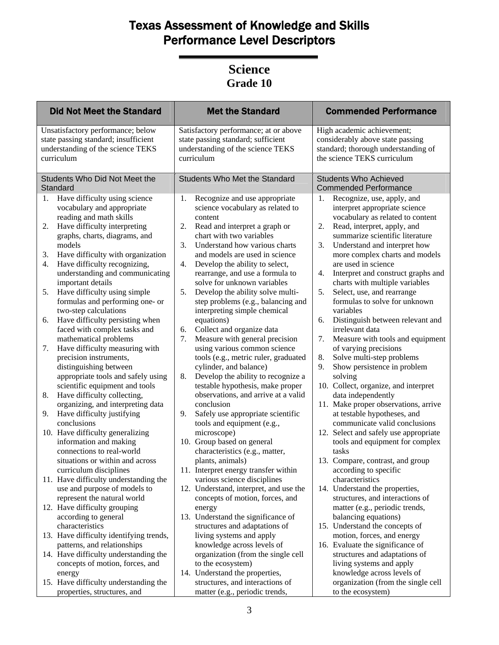| <b>Did Not Meet the Standard</b>                                                                                               | <b>Met the Standard</b>                                                                                                                    | <b>Commended Performance</b>                                                                             |  |  |
|--------------------------------------------------------------------------------------------------------------------------------|--------------------------------------------------------------------------------------------------------------------------------------------|----------------------------------------------------------------------------------------------------------|--|--|
| Unsatisfactory performance; below                                                                                              | Satisfactory performance; at or above                                                                                                      | High academic achievement;                                                                               |  |  |
| state passing standard; insufficient                                                                                           | state passing standard; sufficient                                                                                                         | considerably above state passing                                                                         |  |  |
| understanding of the science TEKS                                                                                              | understanding of the science TEKS                                                                                                          | standard; thorough understanding of                                                                      |  |  |
| curriculum                                                                                                                     | curriculum                                                                                                                                 | the science TEKS curriculum                                                                              |  |  |
| Students Who Did Not Meet the<br><b>Standard</b>                                                                               | <b>Students Who Met the Standard</b>                                                                                                       | <b>Students Who Achieved</b><br><b>Commended Performance</b>                                             |  |  |
| Have difficulty using science                                                                                                  | Recognize and use appropriate                                                                                                              | Recognize, use, apply, and                                                                               |  |  |
| 1.                                                                                                                             | 1.                                                                                                                                         | 1.                                                                                                       |  |  |
| vocabulary and appropriate                                                                                                     | science vocabulary as related to                                                                                                           | interpret appropriate science                                                                            |  |  |
| reading and math skills                                                                                                        | content                                                                                                                                    | vocabulary as related to content                                                                         |  |  |
| Have difficulty interpreting                                                                                                   | Read and interpret a graph or                                                                                                              | 2.                                                                                                       |  |  |
| 2.                                                                                                                             | 2.                                                                                                                                         | Read, interpret, apply, and                                                                              |  |  |
| graphs, charts, diagrams, and                                                                                                  | chart with two variables                                                                                                                   | summarize scientific literature                                                                          |  |  |
| models                                                                                                                         | 3.                                                                                                                                         | 3.                                                                                                       |  |  |
| Have difficulty with organization                                                                                              | Understand how various charts                                                                                                              | Understand and interpret how                                                                             |  |  |
| 3.                                                                                                                             | and models are used in science                                                                                                             | more complex charts and models                                                                           |  |  |
| Have difficulty recognizing,                                                                                                   | Develop the ability to select,                                                                                                             | are used in science                                                                                      |  |  |
| 4.                                                                                                                             | 4.                                                                                                                                         | Interpret and construct graphs and                                                                       |  |  |
| understanding and communicating                                                                                                | rearrange, and use a formula to                                                                                                            | 4.                                                                                                       |  |  |
| important details                                                                                                              | solve for unknown variables                                                                                                                | charts with multiple variables                                                                           |  |  |
| Have difficulty using simple                                                                                                   | 5.                                                                                                                                         | Select, use, and rearrange                                                                               |  |  |
| 5.                                                                                                                             | Develop the ability solve multi-                                                                                                           | 5.                                                                                                       |  |  |
| formulas and performing one- or                                                                                                | step problems (e.g., balancing and                                                                                                         | formulas to solve for unknown                                                                            |  |  |
| two-step calculations                                                                                                          | interpreting simple chemical                                                                                                               | variables                                                                                                |  |  |
| Have difficulty persisting when<br>6.<br>faced with complex tasks and<br>mathematical problems                                 | equations)<br>Collect and organize data<br>6.<br>Measure with general precision<br>7.                                                      | Distinguish between relevant and<br>6.<br>irrelevant data<br>7.<br>Measure with tools and equipment      |  |  |
| Have difficulty measuring with<br>7.<br>precision instruments,<br>distinguishing between<br>appropriate tools and safely using | using various common science<br>tools (e.g., metric ruler, graduated<br>cylinder, and balance)<br>Develop the ability to recognize a<br>8. | of varying precisions<br>Solve multi-step problems<br>8.<br>9.<br>Show persistence in problem<br>solving |  |  |
| scientific equipment and tools<br>8.<br>Have difficulty collecting,                                                            | testable hypothesis, make proper<br>observations, and arrive at a valid                                                                    | 10. Collect, organize, and interpret<br>data independently                                               |  |  |
| organizing, and interpreting data<br>9.<br>Have difficulty justifying<br>conclusions                                           | conclusion<br>Safely use appropriate scientific<br>9.<br>tools and equipment (e.g.,                                                        | 11. Make proper observations, arrive<br>at testable hypotheses, and<br>communicate valid conclusions     |  |  |
| 10. Have difficulty generalizing                                                                                               | microscope)                                                                                                                                | 12. Select and safely use appropriate                                                                    |  |  |
| information and making                                                                                                         | 10. Group based on general                                                                                                                 | tools and equipment for complex                                                                          |  |  |
| connections to real-world                                                                                                      | characteristics (e.g., matter,                                                                                                             | tasks                                                                                                    |  |  |
| situations or within and across<br>curriculum disciplines                                                                      | plants, animals)<br>11. Interpret energy transfer within<br>various science disciplines                                                    | 13. Compare, contrast, and group<br>according to specific<br>characteristics                             |  |  |
| 11. Have difficulty understanding the<br>use and purpose of models to<br>represent the natural world                           | 12. Understand, interpret, and use the<br>concepts of motion, forces, and                                                                  | 14. Understand the properties,<br>structures, and interactions of                                        |  |  |
| 12. Have difficulty grouping                                                                                                   | energy                                                                                                                                     | matter (e.g., periodic trends,                                                                           |  |  |
| according to general                                                                                                           | 13. Understand the significance of                                                                                                         | balancing equations)                                                                                     |  |  |
| characteristics                                                                                                                | structures and adaptations of                                                                                                              | 15. Understand the concepts of                                                                           |  |  |
| 13. Have difficulty identifying trends,                                                                                        | living systems and apply                                                                                                                   | motion, forces, and energy                                                                               |  |  |
| patterns, and relationships                                                                                                    | knowledge across levels of                                                                                                                 | 16. Evaluate the significance of                                                                         |  |  |
| 14. Have difficulty understanding the                                                                                          | organization (from the single cell                                                                                                         | structures and adaptations of                                                                            |  |  |
| concepts of motion, forces, and                                                                                                | to the ecosystem)                                                                                                                          | living systems and apply                                                                                 |  |  |
| energy                                                                                                                         | 14. Understand the properties,                                                                                                             | knowledge across levels of                                                                               |  |  |
| 15. Have difficulty understanding the                                                                                          | structures, and interactions of                                                                                                            | organization (from the single cell                                                                       |  |  |
| properties, structures, and                                                                                                    | matter (e.g., periodic trends,                                                                                                             | to the ecosystem)                                                                                        |  |  |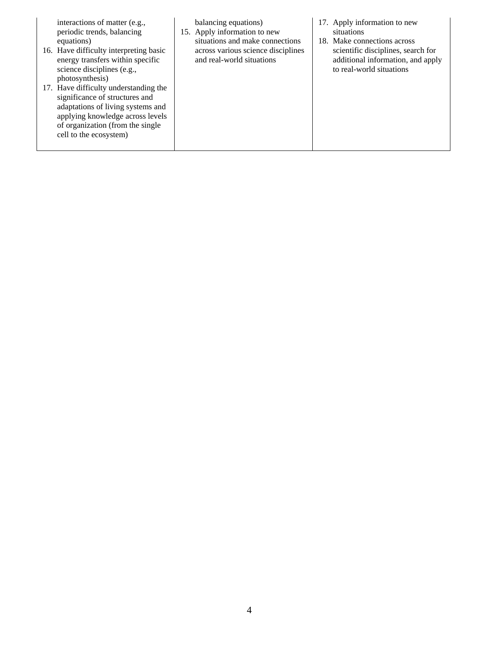| interactions of matter (e.g.,<br>periodic trends, balancing<br>equations)<br>16. Have difficulty interpreting basic<br>energy transfers within specific<br>science disciplines (e.g.,<br>photosynthesis)<br>17. Have difficulty understanding the<br>significance of structures and<br>adaptations of living systems and<br>applying knowledge across levels<br>of organization (from the single<br>cell to the ecosystem) | balancing equations)<br>15. Apply information to new<br>situations and make connections<br>across various science disciplines<br>and real-world situations | 17. Apply information to new<br>situations<br>18. Make connections across<br>scientific disciplines, search for<br>additional information, and apply<br>to real-world situations |
|----------------------------------------------------------------------------------------------------------------------------------------------------------------------------------------------------------------------------------------------------------------------------------------------------------------------------------------------------------------------------------------------------------------------------|------------------------------------------------------------------------------------------------------------------------------------------------------------|----------------------------------------------------------------------------------------------------------------------------------------------------------------------------------|
|                                                                                                                                                                                                                                                                                                                                                                                                                            |                                                                                                                                                            |                                                                                                                                                                                  |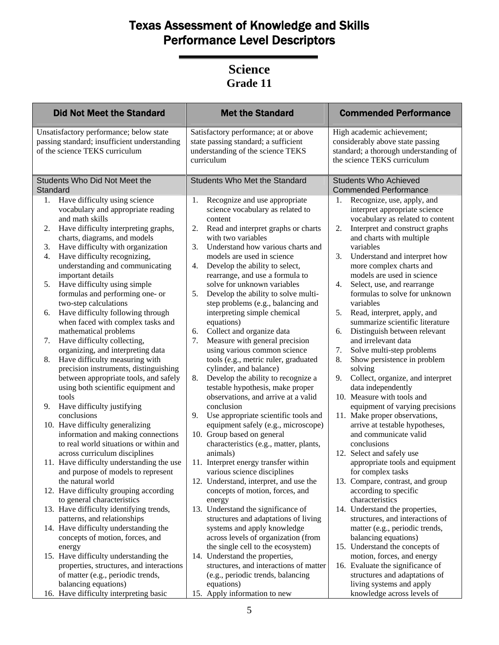| <b>Did Not Meet the Standard</b>                                                                                                                                                                                           |                                                                                                               | <b>Met the Standard</b> |                                                                                                                                                                                                                                                | <b>Commended Performance</b> |                                                                                                                                                                                                                                       |
|----------------------------------------------------------------------------------------------------------------------------------------------------------------------------------------------------------------------------|---------------------------------------------------------------------------------------------------------------|-------------------------|------------------------------------------------------------------------------------------------------------------------------------------------------------------------------------------------------------------------------------------------|------------------------------|---------------------------------------------------------------------------------------------------------------------------------------------------------------------------------------------------------------------------------------|
| Unsatisfactory performance; below state<br>passing standard; insufficient understanding<br>of the science TEKS curriculum                                                                                                  |                                                                                                               |                         | Satisfactory performance; at or above<br>state passing standard; a sufficient<br>understanding of the science TEKS<br>curriculum                                                                                                               |                              | High academic achievement;<br>considerably above state passing<br>standard; a thorough understanding of<br>the science TEKS curriculum                                                                                                |
| Students Who Did Not Meet the<br>Standard                                                                                                                                                                                  |                                                                                                               |                         | <b>Students Who Met the Standard</b>                                                                                                                                                                                                           |                              | <b>Students Who Achieved</b><br><b>Commended Performance</b>                                                                                                                                                                          |
| 1. Have difficulty using science<br>and math skills<br>2.<br>charts, diagrams, and models<br>Have difficulty with organization<br>3.<br>Have difficulty recognizing,<br>4.                                                 | vocabulary and appropriate reading<br>Have difficulty interpreting graphs,<br>understanding and communicating | 1.<br>2.<br>3.<br>4.    | Recognize and use appropriate<br>science vocabulary as related to<br>content<br>Read and interpret graphs or charts<br>with two variables<br>Understand how various charts and<br>models are used in science<br>Develop the ability to select, | 1.<br>2.<br>3.               | Recognize, use, apply, and<br>interpret appropriate science<br>vocabulary as related to content<br>Interpret and construct graphs<br>and charts with multiple<br>variables<br>Understand and interpret how<br>more complex charts and |
| important details<br>Have difficulty using simple<br>5.<br>formulas and performing one- or<br>two-step calculations<br>6.                                                                                                  | Have difficulty following through<br>when faced with complex tasks and                                        | 5.                      | rearrange, and use a formula to<br>solve for unknown variables<br>Develop the ability to solve multi-<br>step problems (e.g., balancing and<br>interpreting simple chemical<br>equations)                                                      | 4.<br>5.                     | models are used in science<br>Select, use, and rearrange<br>formulas to solve for unknown<br>variables<br>Read, interpret, apply, and<br>summarize scientific literature                                                              |
| mathematical problems<br>7.<br>Have difficulty collecting,<br>organizing, and interpreting data<br>Have difficulty measuring with<br>8.                                                                                    | precision instruments, distinguishing<br>between appropriate tools, and safely                                | 6.<br>7.<br>8.          | Collect and organize data<br>Measure with general precision<br>using various common science<br>tools (e.g., metric ruler, graduated<br>cylinder, and balance)<br>Develop the ability to recognize a                                            | 6.<br>7.<br>8.<br>9.         | Distinguish between relevant<br>and irrelevant data<br>Solve multi-step problems<br>Show persistence in problem<br>solving<br>Collect, organize, and interpret                                                                        |
| tools<br>Have difficulty justifying<br>9.<br>conclusions<br>10. Have difficulty generalizing                                                                                                                               | using both scientific equipment and<br>information and making connections                                     | 9.                      | testable hypothesis, make proper<br>observations, and arrive at a valid<br>conclusion<br>Use appropriate scientific tools and<br>equipment safely (e.g., microscope)<br>10. Group based on general                                             |                              | data independently<br>10. Measure with tools and<br>equipment of varying precisions<br>11. Make proper observations,<br>arrive at testable hypotheses,<br>and communicate valid                                                       |
| across curriculum disciplines<br>11. Have difficulty understanding the use<br>the natural world                                                                                                                            | to real world situations or within and<br>and purpose of models to represent                                  |                         | characteristics (e.g., matter, plants,<br>animals)<br>11. Interpret energy transfer within<br>various science disciplines<br>12. Understand, interpret, and use the                                                                            |                              | conclusions<br>12. Select and safely use<br>appropriate tools and equipment<br>for complex tasks<br>13. Compare, contrast, and group                                                                                                  |
| 12. Have difficulty grouping according<br>to general characteristics<br>13. Have difficulty identifying trends,<br>patterns, and relationships<br>14. Have difficulty understanding the<br>concepts of motion, forces, and |                                                                                                               |                         | concepts of motion, forces, and<br>energy<br>13. Understand the significance of<br>structures and adaptations of living<br>systems and apply knowledge<br>across levels of organization (from                                                  |                              | according to specific<br>characteristics<br>14. Understand the properties,<br>structures, and interactions of<br>matter (e.g., periodic trends,<br>balancing equations)                                                               |
| energy<br>15. Have difficulty understanding the<br>of matter (e.g., periodic trends,<br>balancing equations)<br>16. Have difficulty interpreting basic                                                                     | properties, structures, and interactions                                                                      |                         | the single cell to the ecosystem)<br>14. Understand the properties,<br>structures, and interactions of matter<br>(e.g., periodic trends, balancing<br>equations)<br>15. Apply information to new                                               |                              | 15. Understand the concepts of<br>motion, forces, and energy<br>16. Evaluate the significance of<br>structures and adaptations of<br>living systems and apply<br>knowledge across levels of                                           |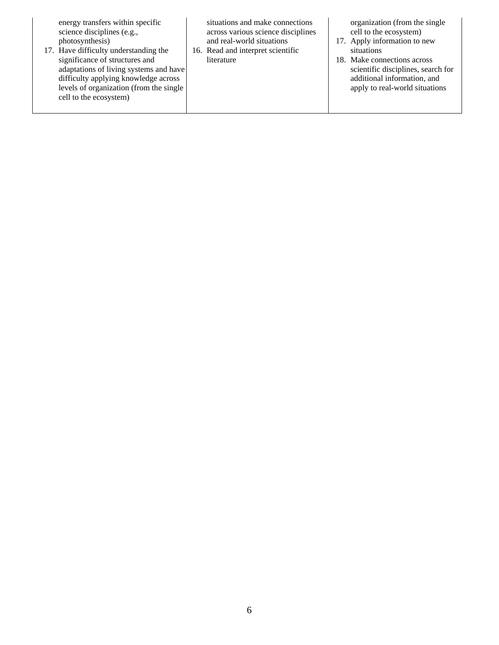energy transfers within specific science disciplines (e.g., photosynthesis)

17. Have difficulty understanding the significance of structures and adaptations of living systems and have difficulty applying knowledge across levels of organization (from the single cell to the ecosystem)

situations and make connections across various science disciplines and real-world situations

16. Read and interpret scientific literature

organization (from the single cell to the ecosystem)

- 17. Apply information to new situations
- 18. Make connections across scientific disciplines, search for additional information, and apply to real-world situations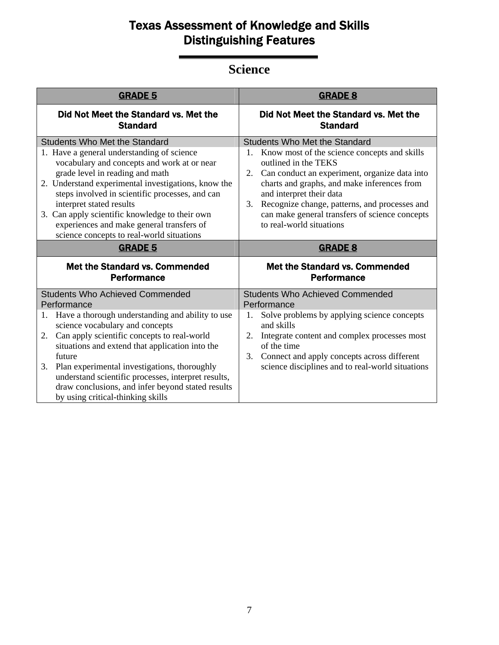# Texas Assessment of Knowledge and Skills Distinguishing Features

### **Science**

| <b>GRADE 5</b>                                                                                                                                                                                                                                                                                                                                                                                                                                         | <b>GRADE 8</b>                                                                                                                                                                                                                                                                                                                                                                            |
|--------------------------------------------------------------------------------------------------------------------------------------------------------------------------------------------------------------------------------------------------------------------------------------------------------------------------------------------------------------------------------------------------------------------------------------------------------|-------------------------------------------------------------------------------------------------------------------------------------------------------------------------------------------------------------------------------------------------------------------------------------------------------------------------------------------------------------------------------------------|
| Did Not Meet the Standard vs. Met the<br><b>Standard</b>                                                                                                                                                                                                                                                                                                                                                                                               | Did Not Meet the Standard vs. Met the<br><b>Standard</b>                                                                                                                                                                                                                                                                                                                                  |
| <b>Students Who Met the Standard</b><br>1. Have a general understanding of science<br>vocabulary and concepts and work at or near<br>grade level in reading and math<br>2. Understand experimental investigations, know the<br>steps involved in scientific processes, and can<br>interpret stated results<br>3. Can apply scientific knowledge to their own<br>experiences and make general transfers of<br>science concepts to real-world situations | <b>Students Who Met the Standard</b><br>Know most of the science concepts and skills<br>1.<br>outlined in the TEKS<br>Can conduct an experiment, organize data into<br>2.<br>charts and graphs, and make inferences from<br>and interpret their data<br>3.<br>Recognize change, patterns, and processes and<br>can make general transfers of science concepts<br>to real-world situations |
| <b>GRADE 5</b>                                                                                                                                                                                                                                                                                                                                                                                                                                         | <b>GRADE 8</b>                                                                                                                                                                                                                                                                                                                                                                            |
| <b>Met the Standard vs. Commended</b><br><b>Performance</b>                                                                                                                                                                                                                                                                                                                                                                                            | <b>Met the Standard vs. Commended</b><br><b>Performance</b>                                                                                                                                                                                                                                                                                                                               |
| <b>Students Who Achieved Commended</b><br>Performance                                                                                                                                                                                                                                                                                                                                                                                                  | <b>Students Who Achieved Commended</b><br>Performance                                                                                                                                                                                                                                                                                                                                     |
| Have a thorough understanding and ability to use<br>science vocabulary and concepts<br>Can apply scientific concepts to real-world<br>2.<br>situations and extend that application into the<br>future<br>Plan experimental investigations, thoroughly<br>3.<br>understand scientific processes, interpret results,<br>draw conclusions, and infer beyond stated results<br>by using critical-thinking skills                                           | Solve problems by applying science concepts<br>1.<br>and skills<br>Integrate content and complex processes most<br>2.<br>of the time<br>3.<br>Connect and apply concepts across different<br>science disciplines and to real-world situations                                                                                                                                             |